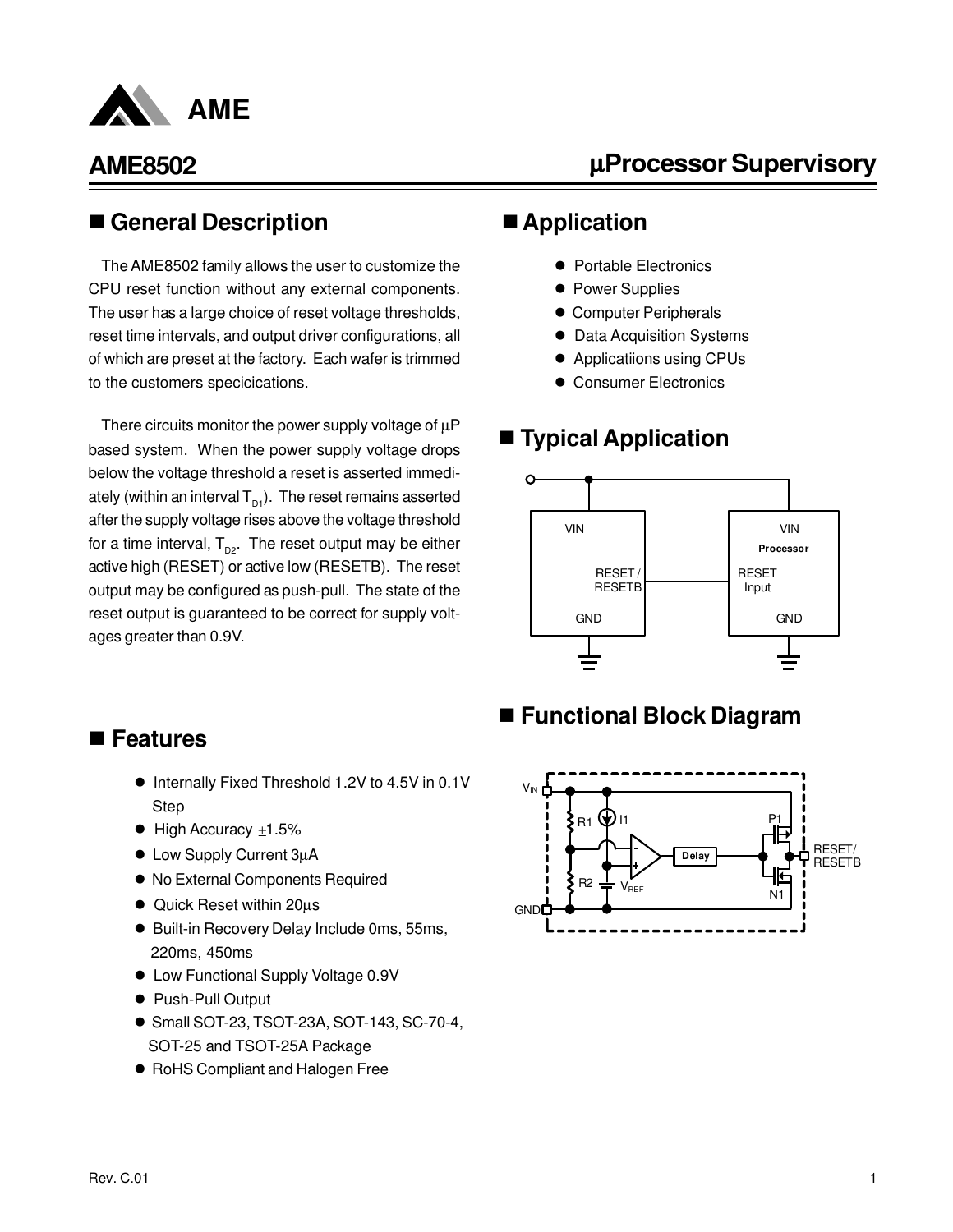

# µ**Processor Supervisory**

#### n **General Description**

The AME8502 family allows the user to customize the CPU reset function without any external components. The user has a large choice of reset voltage thresholds, reset time intervals, and output driver configurations, all of which are preset at the factory. Each wafer is trimmed to the customers specicications.

There circuits monitor the power supply voltage of  $\mu$ P based system. When the power supply voltage drops below the voltage threshold a reset is asserted immediately (within an interval  $T_{p1}$ ). The reset remains asserted after the supply voltage rises above the voltage threshold for a time interval,  $T_{\text{p2}}$ . The reset output may be either active high (RESET) or active low (RESETB). The reset output may be configured as push-pull. The state of the reset output is guaranteed to be correct for supply voltages greater than 0.9V.

#### ■ Application

- Portable Electronics
- Power Supplies
- **Computer Peripherals**
- **Data Acquisition Systems**
- **•** Applicatiions using CPUs
- **Consumer Electronics**

### ■ **Typical Application**



#### n **Features**

- Internally Fixed Threshold 1.2V to 4.5V in 0.1V Step
- $\bullet$  High Accuracy  $\pm 1.5\%$
- Low Supply Current 3µA
- $\bullet$  No External Components Required
- Quick Reset within 20µs
- Built-in Recovery Delay Include 0ms, 55ms, 220ms, 450ms
- Low Functional Supply Voltage 0.9V
- Push-Pull Output
- Small SOT-23, TSOT-23A, SOT-143, SC-70-4, SOT-25 and TSOT-25A Package
- RoHS Compliant and Halogen Free

### ■ Functional Block Diagram

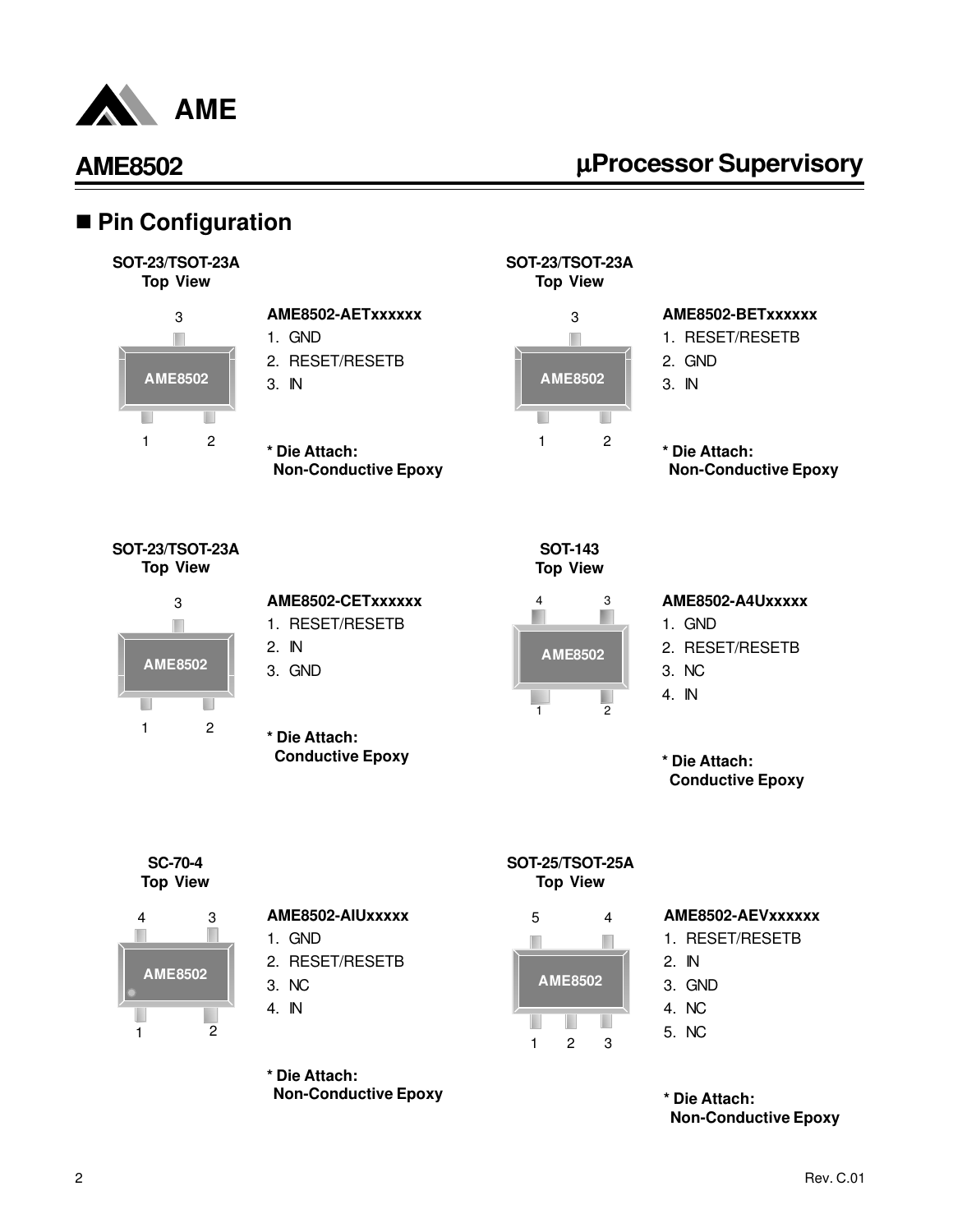

# µ**Processor Supervisory**

### ■ Pin Configuration





#### **AME8502-AETxxxxxx** 1. GND

- 2. RESET/RESETB
- 3. IN
- 
- **\* Die Attach: Non-Conductive Epoxy**





#### **AME8502-BETxxxxxx**

- 1. RESET/RESETB
- 2. GND
- 3. IN
- **\* Die Attach: Non-Conductive Epoxy**

**SOT-23/TSOT-23A Top View**



| AME8502-CETxxxxxx |
|-------------------|
| 1. RESET/RESETB   |
| 2. IN             |

- 3. GND
- **\* Die Attach: Conductive Epoxy**





#### **AME8502-A4Uxxxxx**

- 1. GND
- 2. RESET/RESETB
- 3. NC
- 4. IN

**\* Die Attach: Conductive Epoxy**

**SC-70-4 Top View**



- **AME8502-AIUxxxxx**
- 1. GND
- 2. RESET/RESETB
- 3. NC
- 4. IN

**\* Die Attach: Non-Conductive Epoxy**

#### **SOT-25/TSOT-25A Top View**



#### **AME8502-AEVxxxxxx**

- 1. RESET/RESETB
- 2. IN
- 3. GND
- 4. NC
- 5. NC

**\* Die Attach: Non-Conductive Epoxy**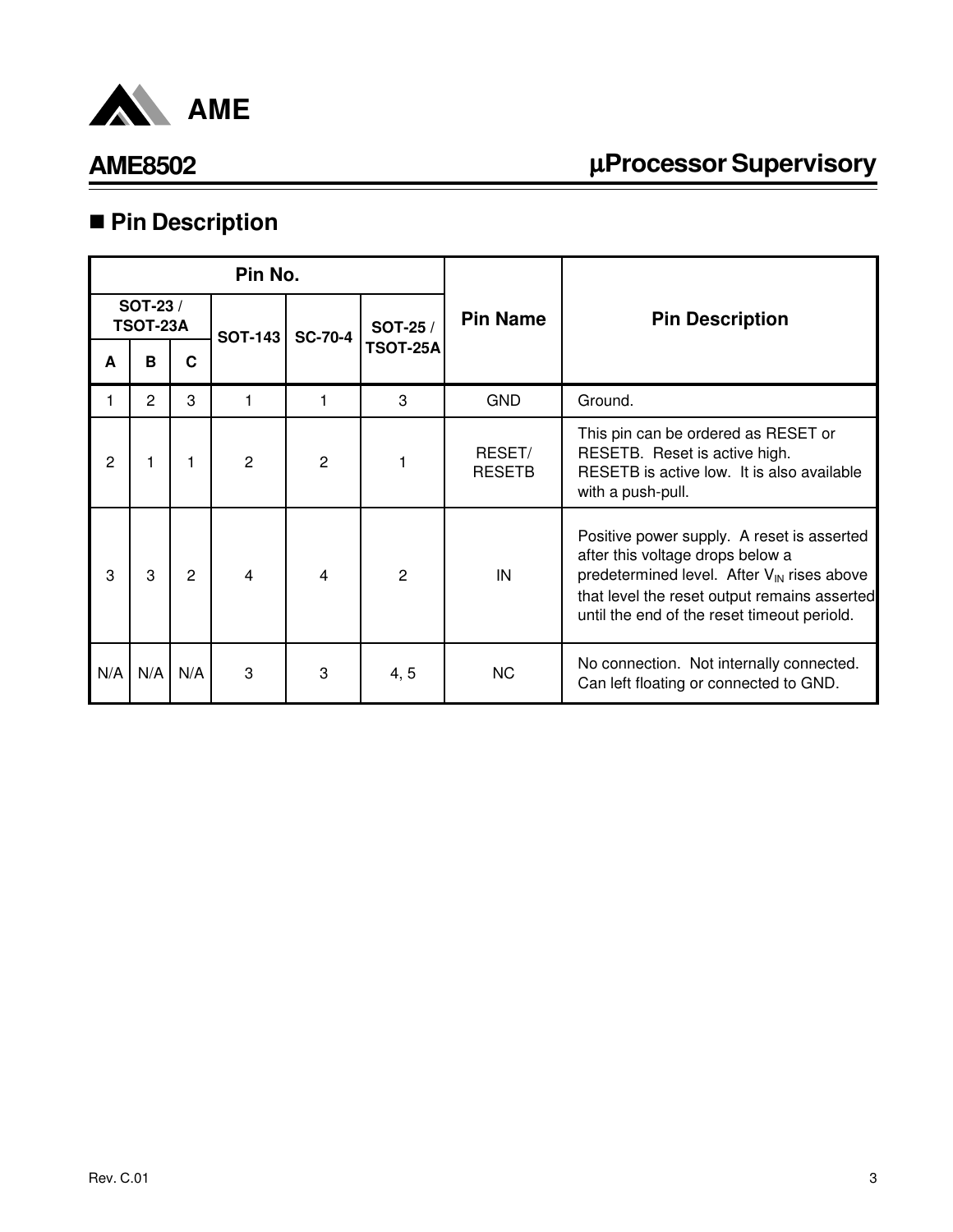

# µ**Processor Supervisory**

# n **Pin Description**

| Pin No. |                             |     |                |                |                 |                         |                                                                                                                                                                                                                                         |
|---------|-----------------------------|-----|----------------|----------------|-----------------|-------------------------|-----------------------------------------------------------------------------------------------------------------------------------------------------------------------------------------------------------------------------------------|
|         | SOT-23 /<br><b>TSOT-23A</b> |     | <b>SOT-143</b> | <b>SC-70-4</b> | SOT-25 /        | <b>Pin Name</b>         | <b>Pin Description</b>                                                                                                                                                                                                                  |
| A       | B                           | C   |                |                | <b>TSOT-25A</b> |                         |                                                                                                                                                                                                                                         |
|         | $\overline{2}$              | 3   |                |                | 3               | <b>GND</b>              | Ground.                                                                                                                                                                                                                                 |
| 2       |                             |     | $\overline{2}$ | $\overline{2}$ |                 | RESET/<br><b>RESETB</b> | This pin can be ordered as RESET or<br>RESETB. Reset is active high.<br>RESETB is active low. It is also available<br>with a push-pull.                                                                                                 |
| 3       | 3                           | 2   | 4              | 4              | $\overline{2}$  | IN                      | Positive power supply. A reset is asserted<br>after this voltage drops below a<br>predetermined level. After $V_{\text{IN}}$ rises above<br>that level the reset output remains asserted<br>until the end of the reset timeout periold. |
| N/A     | N/A                         | N/A | 3              | 3              | 4, 5            | NC.                     | No connection. Not internally connected.<br>Can left floating or connected to GND.                                                                                                                                                      |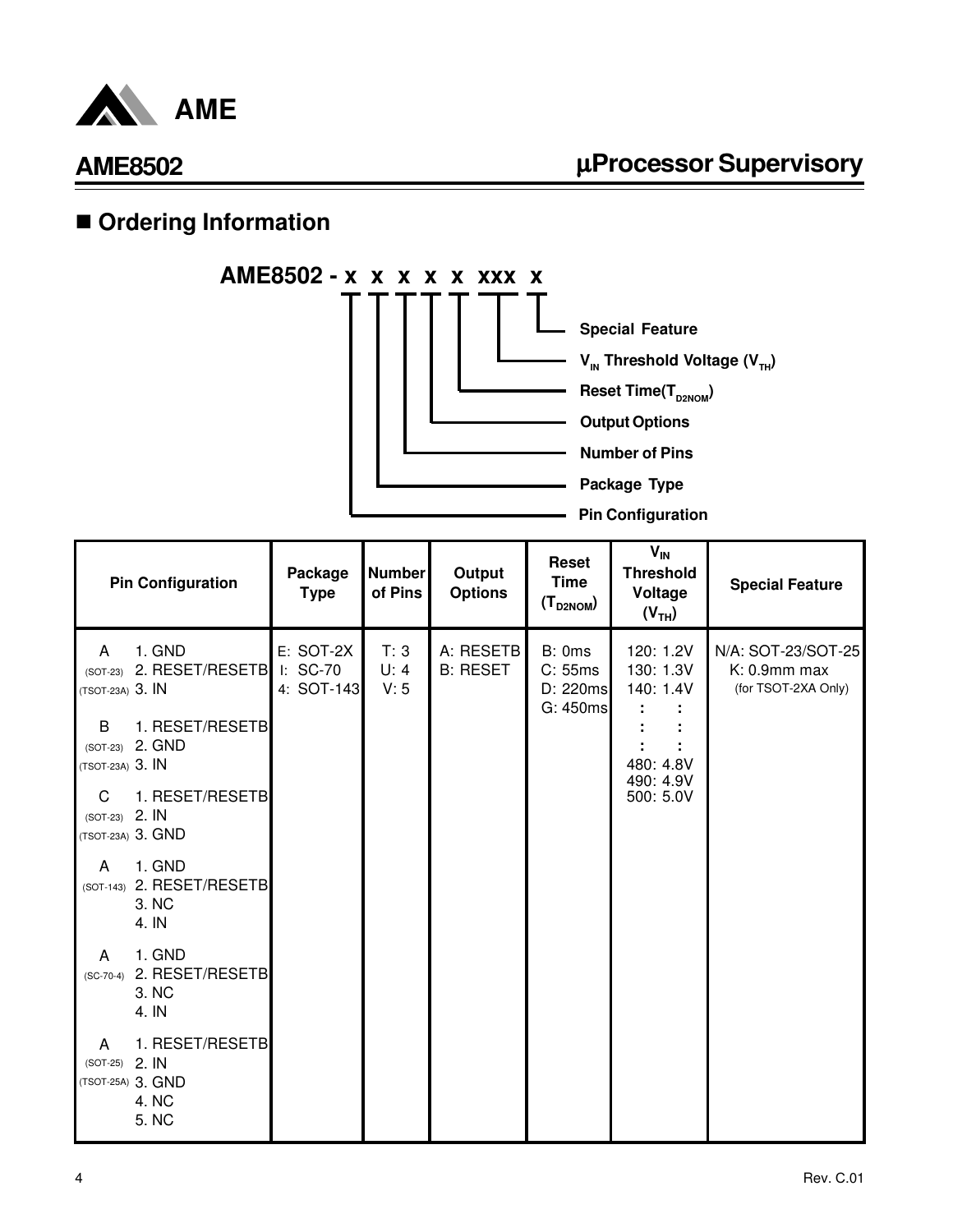

# **n** Ordering Information



|                                     | <b>Pin Configuration</b>                               | Package<br><b>Type</b>              | <b>Number</b><br>of Pins | Output<br><b>Options</b>     | <b>Reset</b><br><b>Time</b><br>$(T_{D2NOM})$ | $V_{IN}$<br><b>Threshold</b><br>Voltage<br>(V <sub>TH</sub> ) | <b>Special Feature</b>                                    |
|-------------------------------------|--------------------------------------------------------|-------------------------------------|--------------------------|------------------------------|----------------------------------------------|---------------------------------------------------------------|-----------------------------------------------------------|
| A<br>$(SOT-23)$<br>(TSOT-23A) 3. IN | 1. GND<br>2. RESET/RESETB                              | E: SOT-2X<br>I: SC-70<br>4: SOT-143 | T: 3<br>U: 4<br>V: 5     | A: RESETB<br><b>B: RESET</b> | B: 0ms<br>C: 55ms<br>D: 220ms<br>G: 450ms    | 120: 1.2V<br>130: 1.3V<br>140: 1.4V                           | N/A: SOT-23/SOT-25<br>K: 0.9mm max<br>(for TSOT-2XA Only) |
| B.<br>(TSOT-23A) 3. IN              | 1. RESET/RESETB<br>(SOT-23) 2. GND                     |                                     |                          |                              |                                              | 480: 4.8V                                                     |                                                           |
| C<br>$(SOT-23)$ 2. IN               | 1. RESET/RESETB<br>(TSOT-23A) 3. GND                   |                                     |                          |                              |                                              | 490: 4.9V<br>500: 5.0V                                        |                                                           |
| A                                   | 1. GND<br>(SOT-143) 2. RESET/RESETB<br>3. NC<br>4. IN  |                                     |                          |                              |                                              |                                                               |                                                           |
| A<br>$(SC-70-4)$                    | 1. GND<br>2. RESET/RESETB<br>3. NC<br>4. IN            |                                     |                          |                              |                                              |                                                               |                                                           |
| A<br>(SOT-25) 2. IN                 | 1. RESET/RESETB<br>(TSOT-25A) 3. GND<br>4. NC<br>5. NC |                                     |                          |                              |                                              |                                                               |                                                           |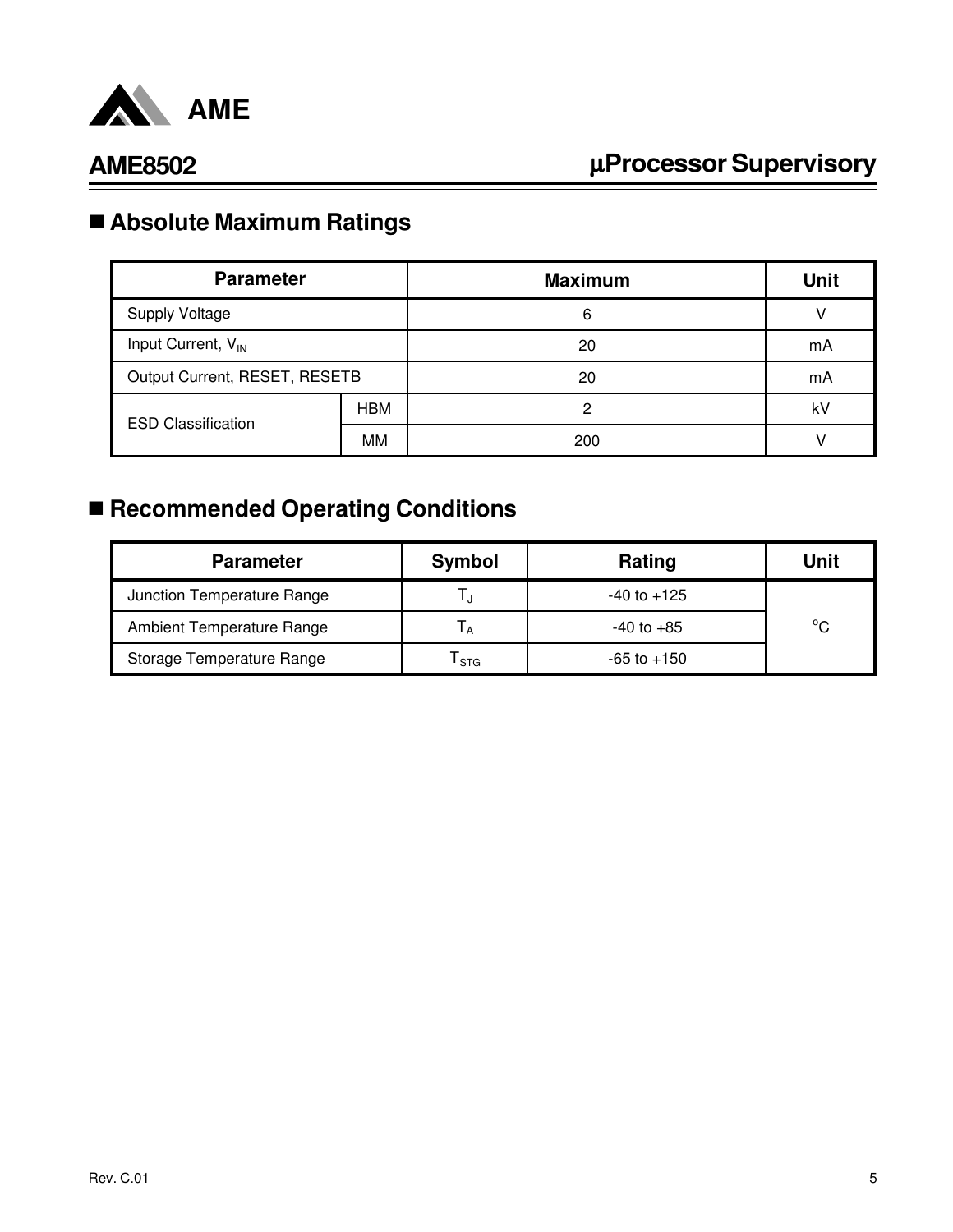

# n **Absolute Maximum Ratings**

| <b>Parameter</b>               |            | <b>Maximum</b> | <b>Unit</b> |
|--------------------------------|------------|----------------|-------------|
| <b>Supply Voltage</b>          |            | 6              |             |
| Input Current, V <sub>IN</sub> |            | 20             | mA          |
| Output Current, RESET, RESETB  |            | 20             | mA          |
| <b>ESD Classification</b>      | <b>HBM</b> | 2              | kV          |
|                                | MM         | 200            |             |

# ■ Recommended Operating Conditions

| <b>Parameter</b>                 | Symbol           | Rating          | Unit         |
|----------------------------------|------------------|-----------------|--------------|
| Junction Temperature Range       |                  | $-40$ to $+125$ |              |
| <b>Ambient Temperature Range</b> |                  | $-40$ to $+85$  | $^{\circ}$ C |
| Storage Temperature Range        | <sup>I</sup> STG | $-65$ to $+150$ |              |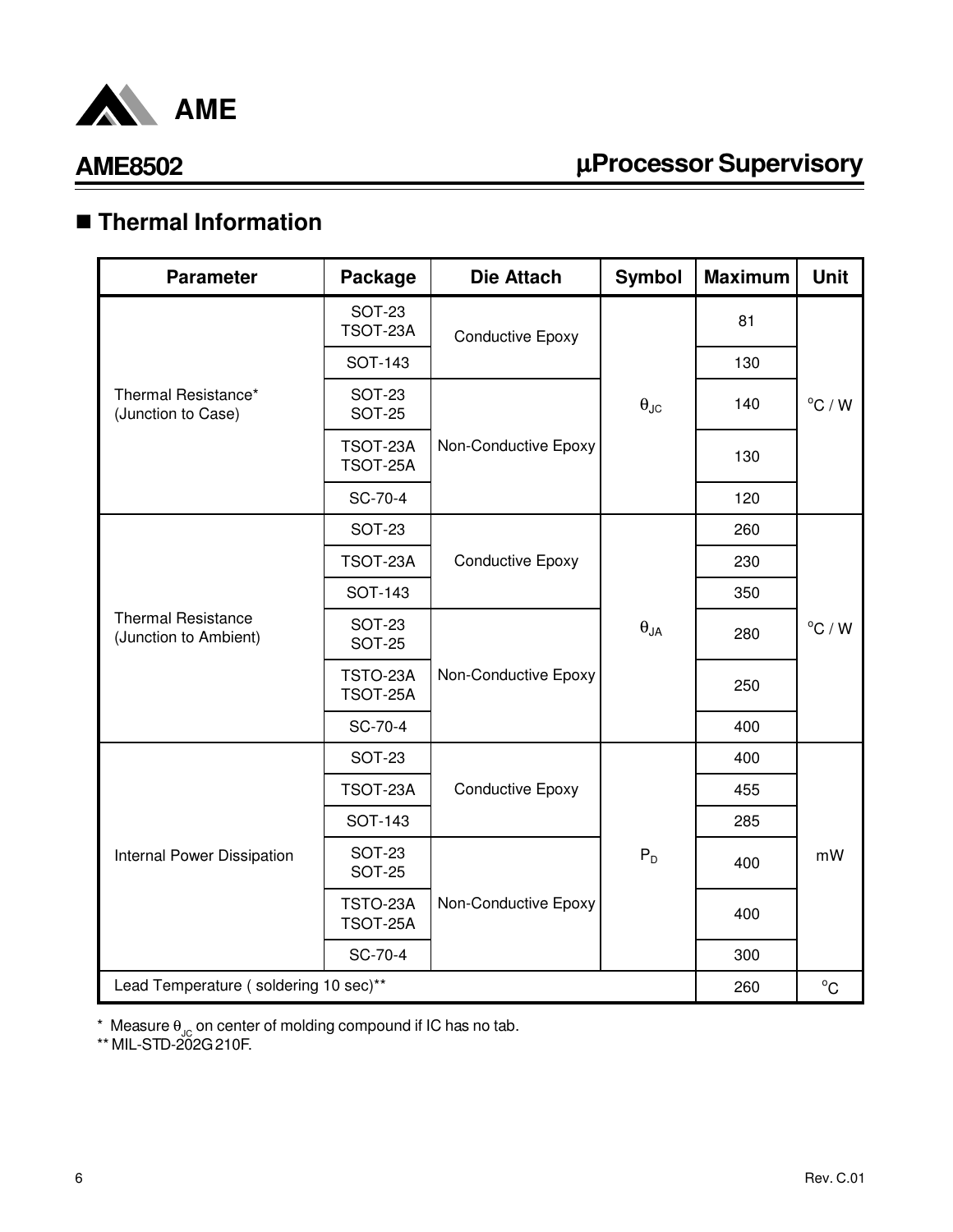

# µ**Processor Supervisory**

# n **Thermal Information**

| <b>Parameter</b>                                   | Package                        | <b>Die Attach</b>       | <b>Symbol</b>          | <b>Maximum</b> | <b>Unit</b>      |
|----------------------------------------------------|--------------------------------|-------------------------|------------------------|----------------|------------------|
|                                                    | <b>SOT-23</b><br>TSOT-23A      | <b>Conductive Epoxy</b> |                        | 81             |                  |
|                                                    | <b>SOT-143</b>                 |                         |                        | 130            |                  |
| Thermal Resistance*<br>(Junction to Case)          | <b>SOT-23</b><br><b>SOT-25</b> |                         | $\theta_{\text{JC}}$   | 140            | $^{\circ}$ C / W |
|                                                    | TSOT-23A<br>TSOT-25A           | Non-Conductive Epoxy    |                        | 130            |                  |
|                                                    | SC-70-4                        |                         |                        | 120            |                  |
|                                                    | <b>SOT-23</b>                  |                         |                        | 260            |                  |
|                                                    | TSOT-23A                       | <b>Conductive Epoxy</b> | $\theta_{\mathsf{JA}}$ | 230            | $^{\circ}$ C / W |
|                                                    | <b>SOT-143</b>                 |                         |                        | 350            |                  |
| <b>Thermal Resistance</b><br>(Junction to Ambient) | <b>SOT-23</b><br><b>SOT-25</b> |                         |                        | 280            |                  |
|                                                    | TSTO-23A<br>TSOT-25A           | Non-Conductive Epoxy    |                        | 250            |                  |
|                                                    | SC-70-4                        |                         |                        | 400            |                  |
|                                                    | <b>SOT-23</b>                  |                         |                        | 400            |                  |
|                                                    | TSOT-23A                       | <b>Conductive Epoxy</b> |                        | 455            |                  |
|                                                    | <b>SOT-143</b>                 |                         |                        | 285            |                  |
| Internal Power Dissipation                         | <b>SOT-23</b><br><b>SOT-25</b> |                         | $P_D$                  | 400            | mW               |
|                                                    | TSTO-23A<br>TSOT-25A           | Non-Conductive Epoxy    |                        | 400            |                  |
|                                                    | SC-70-4                        |                         |                        | 300            |                  |
| Lead Temperature (soldering 10 sec)**              |                                |                         |                        | 260            | $^{\circ}C$      |

 $^*$  Measure  $\theta_{\text{JC}}$  on center of molding compound if IC has no tab.

\*\* MIL-STD-202G 210F.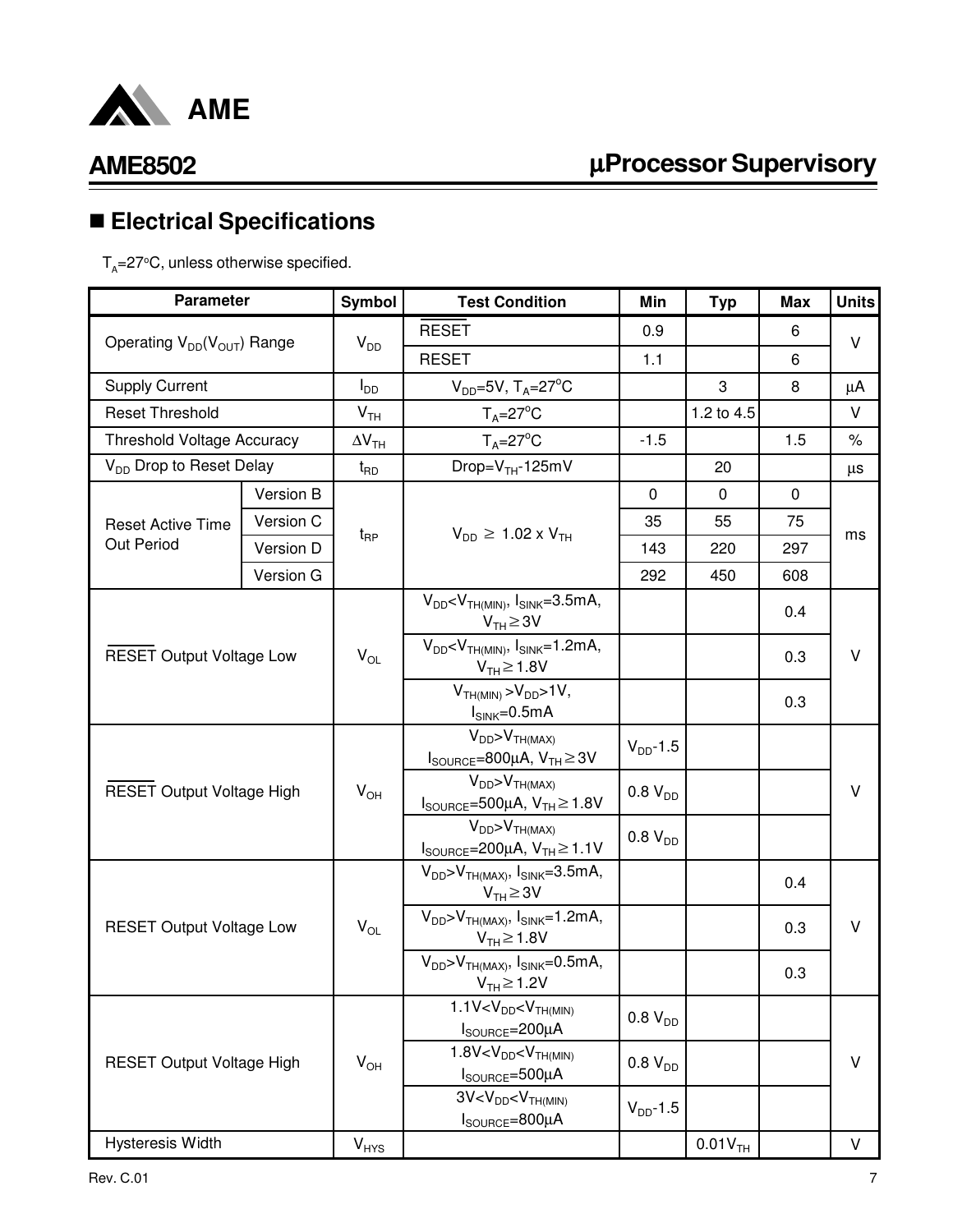

# µ**Processor Supervisory**

# n **Electrical Specifications**

 ${\sf T}_{\sf A}$ =27°C, unless otherwise specified.

| <b>Parameter</b>                    |           | <b>Symbol</b>            | <b>Test Condition</b>                                                                           | Min           | <b>Typ</b>            | <b>Max</b>  | <b>Units</b> |
|-------------------------------------|-----------|--------------------------|-------------------------------------------------------------------------------------------------|---------------|-----------------------|-------------|--------------|
|                                     |           |                          | <b>RESET</b>                                                                                    | 0.9           |                       | 6           | V            |
| Operating $V_{DD}(V_{OUT})$ Range   |           | $V_{DD}$                 | <b>RESET</b>                                                                                    | 1.1           |                       | 6           |              |
| <b>Supply Current</b>               |           | $I_{DD}$                 | $V_{DD}$ =5V, T <sub>A</sub> =27 <sup>°</sup> C                                                 |               | 3                     | 8           | μA           |
| <b>Reset Threshold</b>              |           | V <sub>TH</sub>          | $T_A = 27^\circ C$                                                                              |               | 1.2 to 4.5            |             | V            |
| <b>Threshold Voltage Accuracy</b>   |           | $\Delta V$ <sub>TH</sub> | $T_A = 27$ °C                                                                                   | $-1.5$        |                       | 1.5         | $\%$         |
| V <sub>DD</sub> Drop to Reset Delay |           | $t_{\mathsf{RD}}$        | Drop= $VTH$ -125mV                                                                              |               | 20                    |             | $\mu s$      |
|                                     | Version B |                          |                                                                                                 | 0             | 0                     | $\mathbf 0$ |              |
| <b>Reset Active Time</b>            | Version C |                          | $V_{DD} \ge 1.02 \times V_{TH}$                                                                 | 35            | 55                    | 75          | ms           |
| Out Period                          | Version D | $t_{\mathsf{RP}}$        |                                                                                                 | 143           | 220                   | 297         |              |
|                                     | Version G |                          |                                                                                                 | 292           | 450                   | 608         |              |
|                                     |           |                          | $V_{DD}$ < $V_{TH(MIN)}$ , $I_{SINK}$ =3.5mA,<br>$V_{TH} \geq 3V$                               |               |                       | 0.4         |              |
| <b>RESET Output Voltage Low</b>     |           | $V_{OL}$                 | $V_{DD}$ < $V_{TH(MIN)}$ , $I_{SINK}$ =1.2mA,<br>$V_{TH} \ge 1.8V$                              |               |                       | 0.3         | v            |
|                                     |           |                          | $VTH(MIN) > VDD > 1V,$<br>$I_{SINK} = 0.5mA$                                                    |               |                       | 0.3         |              |
|                                     |           |                          | $V_{DD} > V_{TH(MAX)}$<br>$I_{\text{SOURCE}} = 800 \mu A$ , $V_{\text{TH}} \ge 3V$              | $V_{DD}$ -1.5 |                       |             |              |
| <b>RESET Output Voltage High</b>    |           | $V_{OH}$                 | $V_{DD} > V_{TH(MAX)}$<br>$I_{\text{SOURCE}} = 500 \mu A$ , $V_{\text{TH}} \ge 1.8 V$           | $0.8 V_{DD}$  |                       |             | V            |
|                                     |           |                          | $V_{DD} > V_{TH(MAX)}$<br>$I_{\text{SOURCE}} = 200 \mu\text{A}, V_{\text{TH}} \ge 1.1 \text{V}$ | $0.8 V_{DD}$  |                       |             |              |
|                                     |           |                          | $V_{DD} > V_{TH(MAX)}$ , $I_{SINK} = 3.5mA$ ,<br>$V_{TH} \geq 3V$                               |               |                       | 0.4         |              |
| <b>RESET Output Voltage Low</b>     |           | $V_{OL}$                 | $V_{DD} > V_{TH(MAX)}$ , $I_{SINK} = 1.2mA$ ,<br>$V_{TH} \ge 1.8V$                              |               |                       | 0.3         | V            |
|                                     |           |                          | $V_{DD} > V_{TH(MAX)}$ , $I_{SINK} = 0.5mA$ ,<br>$V_{TH} \ge 1.2V$                              |               |                       | 0.3         |              |
|                                     |           |                          | $1.1V < VDD < VTH(MIN)$<br>$I_{\text{SOURCE}} = 200 \mu A$                                      | $0.8 V_{DD}$  |                       |             |              |
| <b>RESET Output Voltage High</b>    |           | $V_{OH}$                 | $1.8V < V_{DD} < V_{TH(MIN)}$<br>$I_{\text{SOURCE}} = 500 \mu A$                                | $0.8 V_{DD}$  |                       |             | V            |
|                                     |           |                          | $3V < V_{DD} < V_{TH(MIN)}$<br>$I_{\text{SOURCE}} = 800 \mu A$                                  | $V_{DD}$ -1.5 |                       |             |              |
| <b>Hysteresis Width</b>             |           | $V_{HYS}$                |                                                                                                 |               | $0.01V$ <sub>TH</sub> |             | $\vee$       |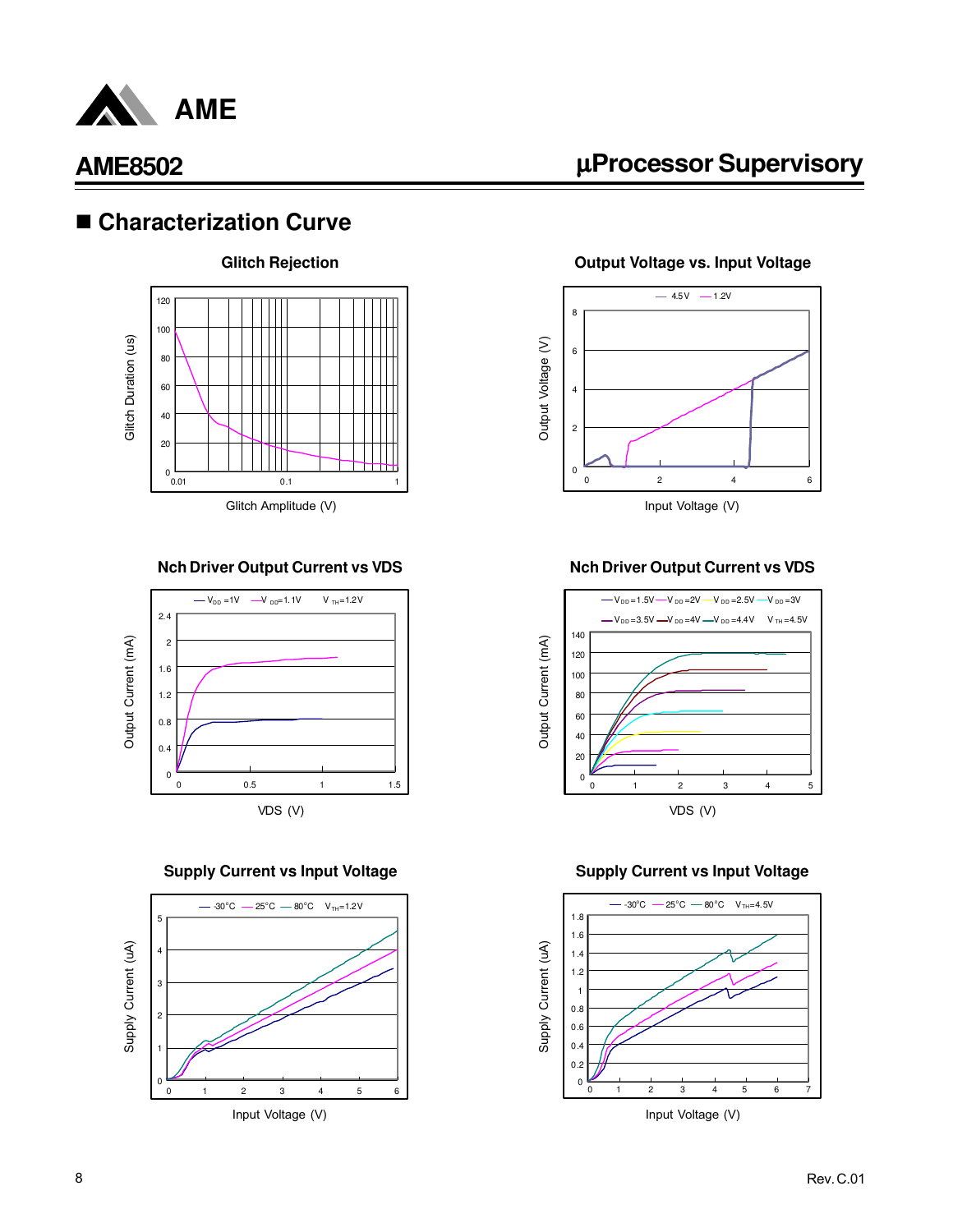

### ■ Characterization Curve



#### **Nch Driver Output Current vs VDS**



#### **Supply Current vs Input Voltage Supply Current vs Input Voltage**



# µ**Processor Supervisory**

**Output Voltage vs. Input Voltage**



#### **Nch Driver Output Current vs VDS**



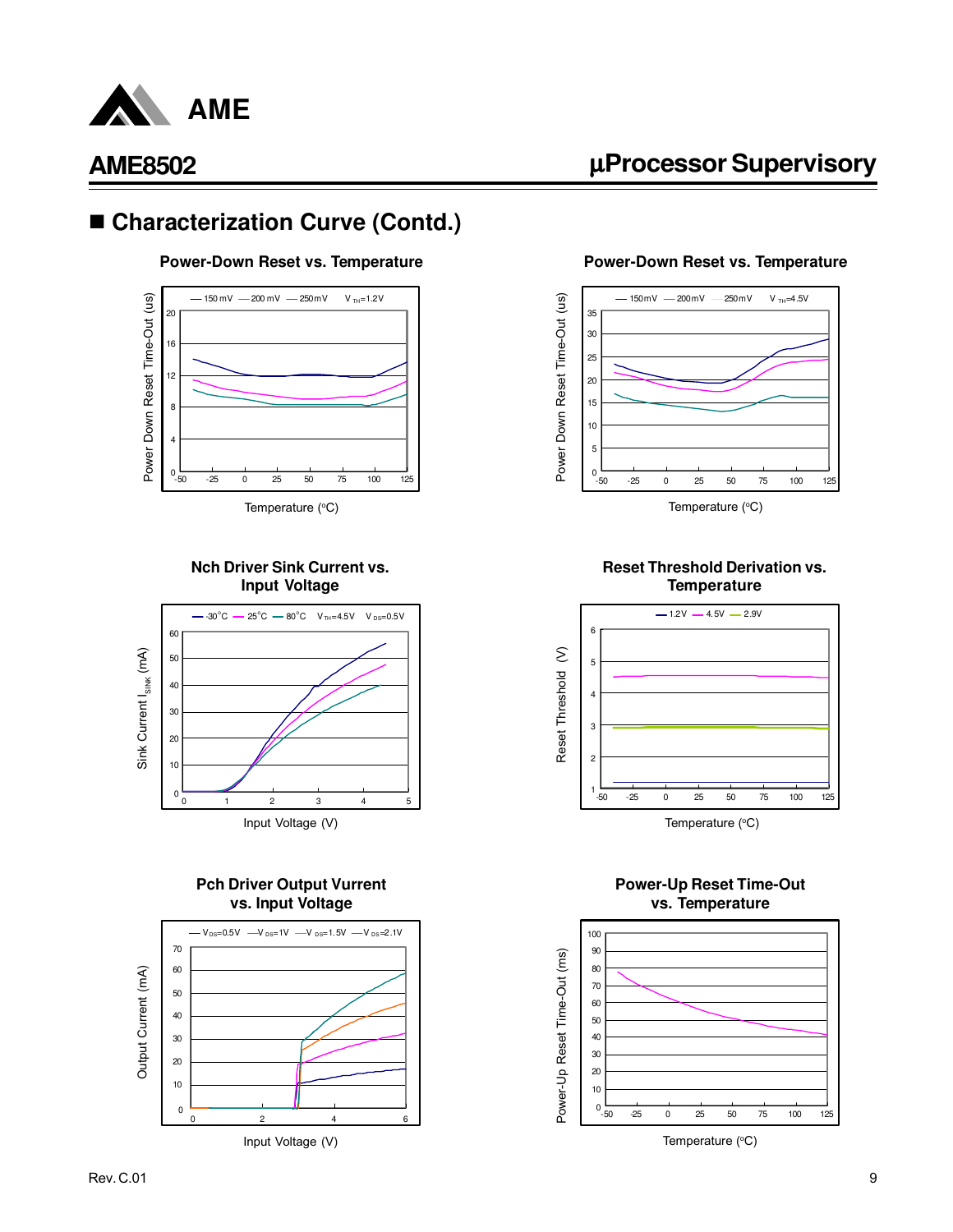

### ■ Characterization Curve (Contd.)

#### **Power-Down Reset vs. Temperature**



Temperature (°C)

#### **Nch Driver Sink Current vs. Input Voltage**



#### **Pch Driver Output Vurrent vs. Input Voltage**



**Power-Down Reset vs. Temperature**

µ**Processor Supervisory**



Temperature (°C)

#### **Reset Threshold Derivation vs. Temperature**



#### **Power-Up Reset Time-Out vs. Temperature**



Temperature  $(^{\circ}C)$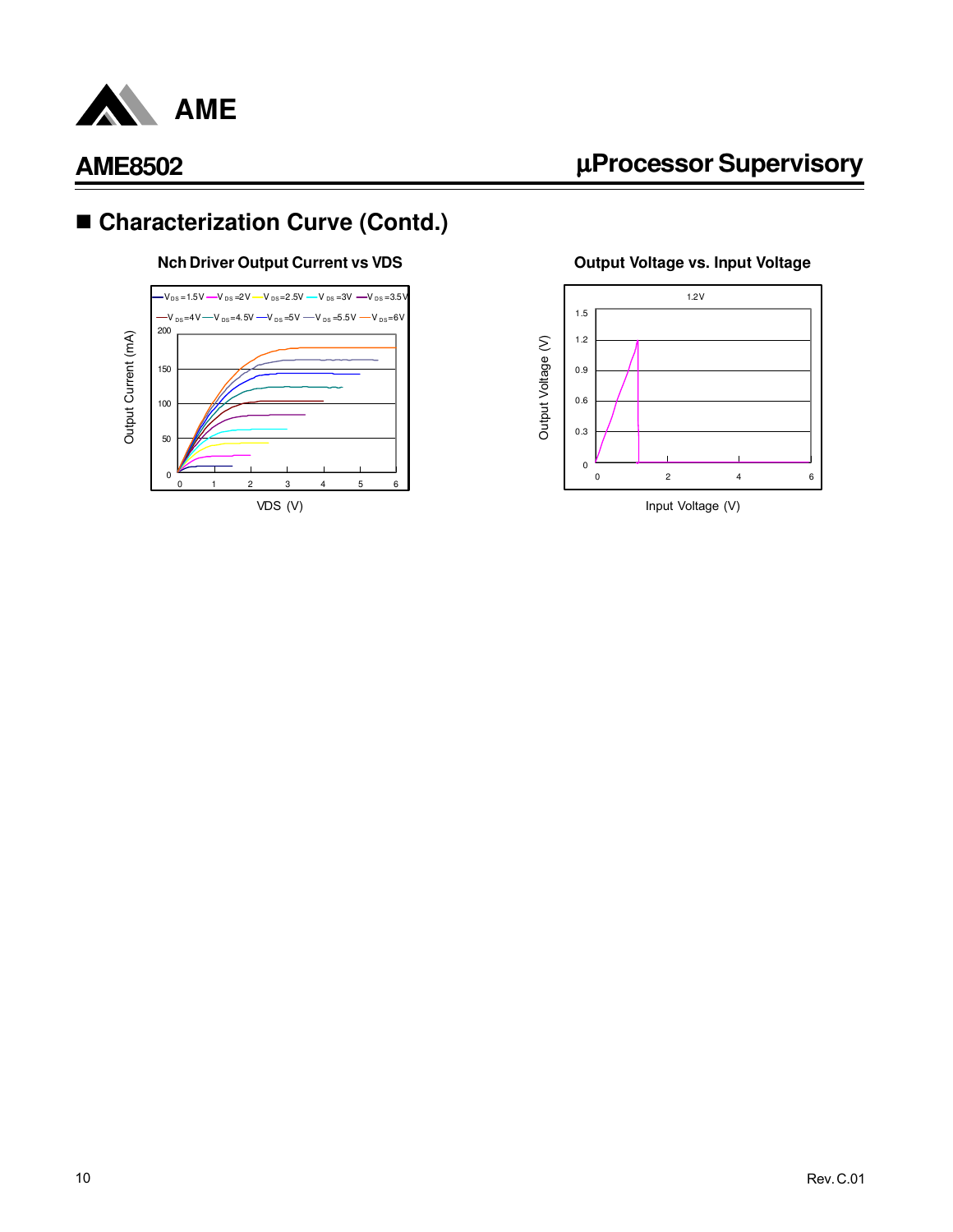

# ■ Characterization Curve (Contd.)

#### **Nch Driver Output Current vs VDS**



# µ**Processor Supervisory**

**Output Voltage vs. Input Voltage**

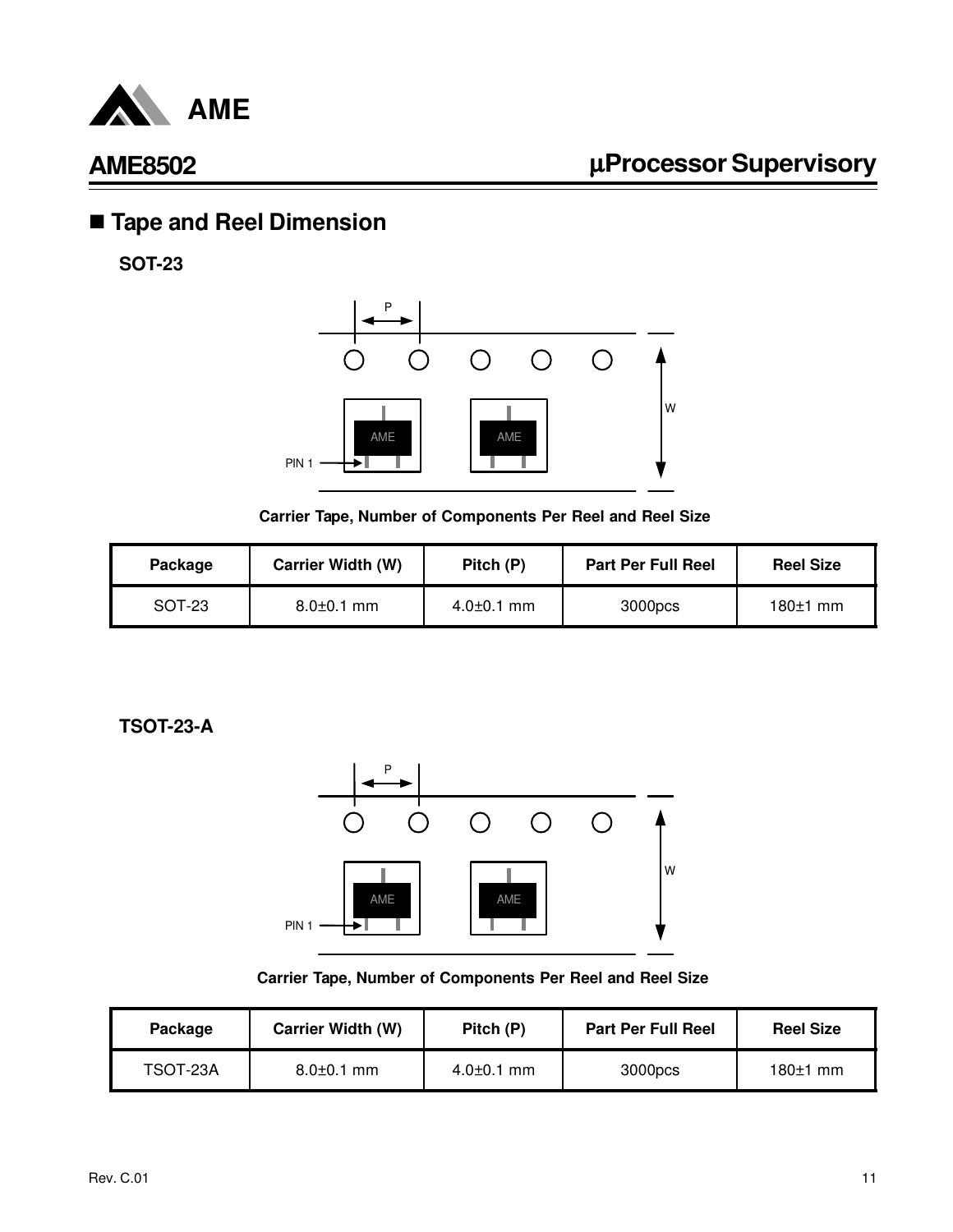

# n **Tape and Reel Dimension**

**SOT-23**



**Carrier Tape, Number of Components Per Reel and Reel Size**

| Package | <b>Carrier Width (W)</b> |                  | <b>Part Per Full Reel</b> | <b>Reel Size</b> |
|---------|--------------------------|------------------|---------------------------|------------------|
| SOT-23  | $8.0 \pm 0.1$ mm         | $4.0{\pm}0.1$ mm | 3000pcs                   | $180±1$ mm       |

**TSOT-23-A**



#### **Carrier Tape, Number of Components Per Reel and Reel Size**

| <b>Carrier Width (W)</b><br>Package |                  | Pitch (P)        | <b>Part Per Full Reel</b> | <b>Reel Size</b> |
|-------------------------------------|------------------|------------------|---------------------------|------------------|
| TSOT-23A                            | $8.0 \pm 0.1$ mm | $4.0 \pm 0.1$ mm | 3000pcs                   | $180±1$ mm       |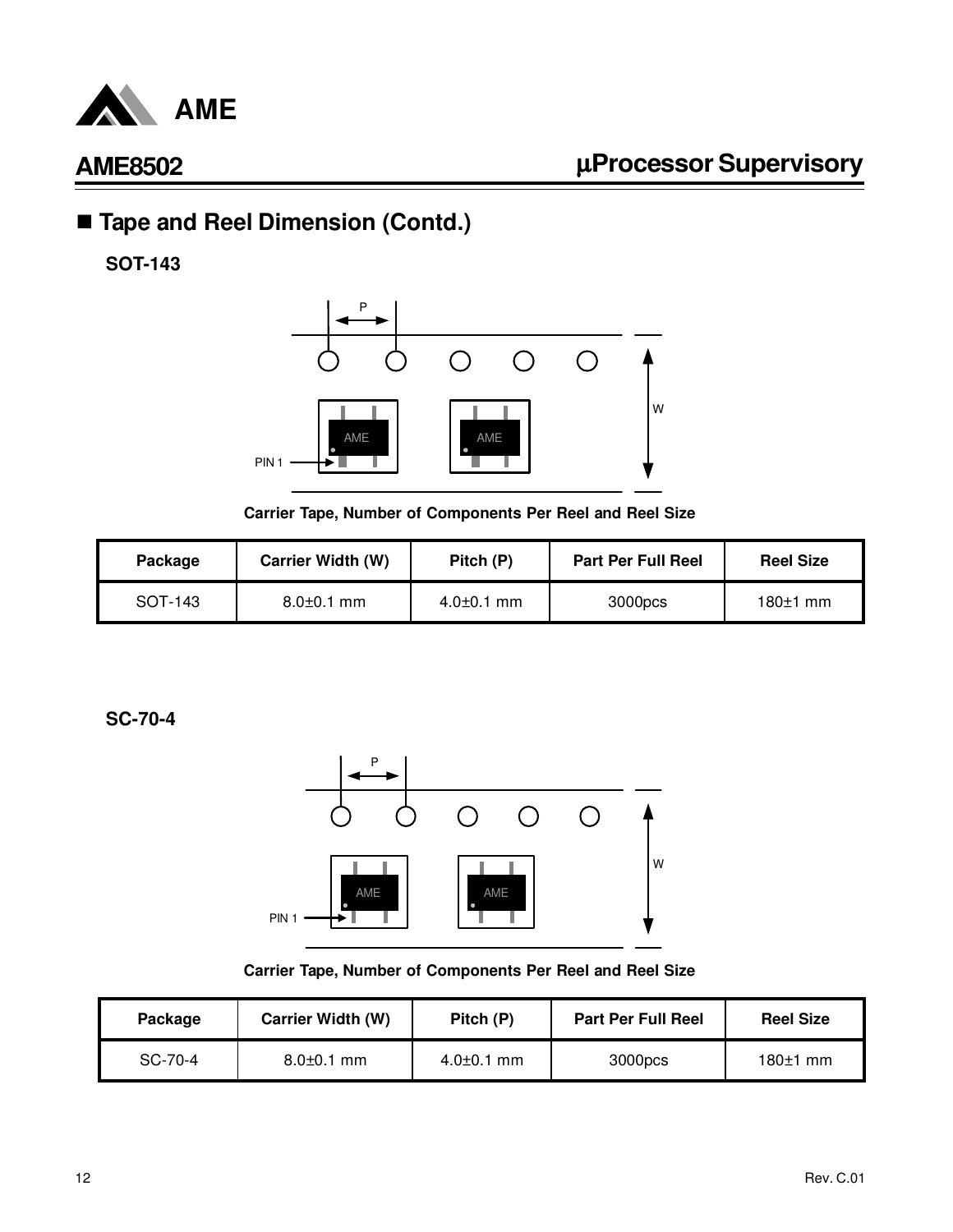

# ■ Tape and Reel Dimension (Contd.)

**SOT-143**



**Carrier Tape, Number of Components Per Reel and Reel Size**

| <b>Carrier Width (W)</b><br>Package |                  | Pitch (P)        | <b>Part Per Full Reel</b> | <b>Reel Size</b> |
|-------------------------------------|------------------|------------------|---------------------------|------------------|
| SOT-143                             | $8.0 \pm 0.1$ mm | $4.0{\pm}0.1$ mm | 3000pcs                   | $180±1$ mm       |

**SC-70-4**



**Carrier Tape, Number of Components Per Reel and Reel Size**

| <b>Carrier Width (W)</b><br>Package |                  | Pitch (P)        | <b>Part Per Full Reel</b> | <b>Reel Size</b> |
|-------------------------------------|------------------|------------------|---------------------------|------------------|
| SC-70-4                             | $8.0 \pm 0.1$ mm | $4.0{\pm}0.1$ mm | 3000pcs                   | $180±1$ mm       |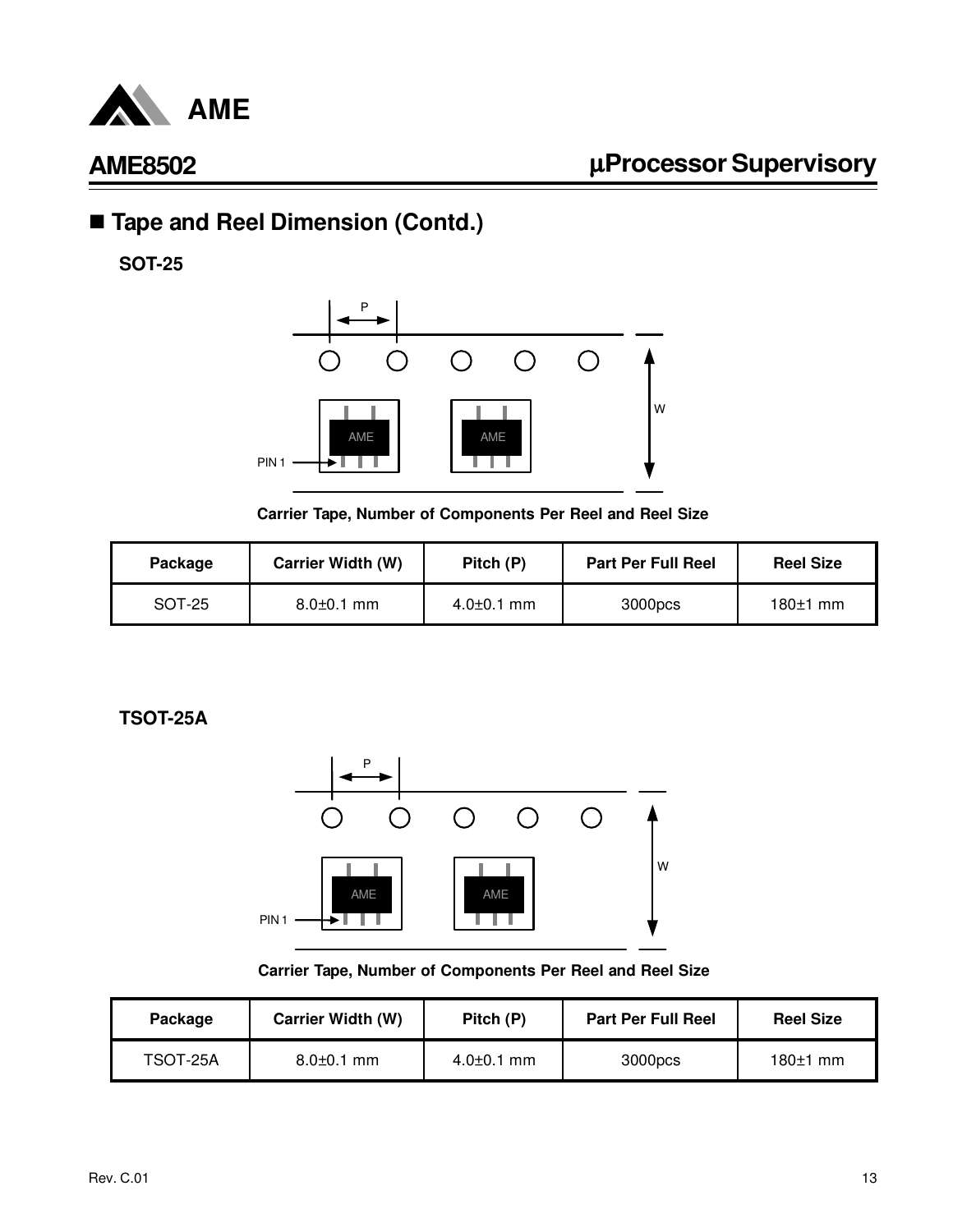

# ■ Tape and Reel Dimension (Contd.)

**SOT-25**



**Carrier Tape, Number of Components Per Reel and Reel Size**

| <b>Carrier Width (W)</b><br>Package |                  | Pitch (P)        | <b>Part Per Full Reel</b> | <b>Reel Size</b> |
|-------------------------------------|------------------|------------------|---------------------------|------------------|
| SOT-25                              | $8.0 \pm 0.1$ mm | $4.0{\pm}0.1$ mm | 3000pcs                   | $180±1$ mm       |

**TSOT-25A**



**Carrier Tape, Number of Components Per Reel and Reel Size**

| Package  | <b>Carrier Width (W)</b> | Pitch (P)        | <b>Part Per Full Reel</b> | <b>Reel Size</b> |
|----------|--------------------------|------------------|---------------------------|------------------|
| TSOT-25A | $8.0 \pm 0.1$ mm         | $4.0{\pm}0.1$ mm | 3000pcs                   | $180±1$ mm       |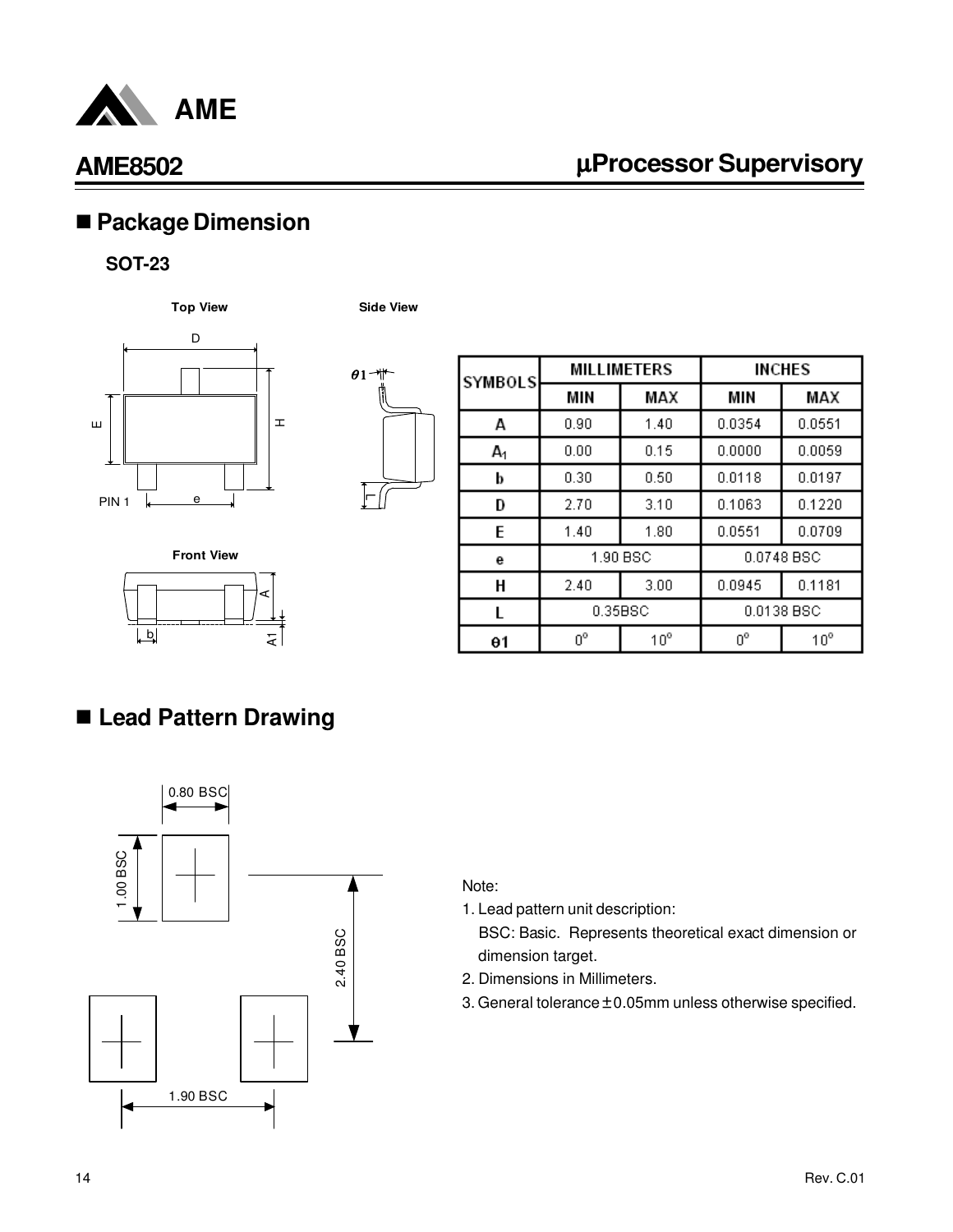

# µ**Processor Supervisory**

# n **Package Dimension**

#### **SOT-23**

**Top View Side View**





| <b>SYMBOLS</b> | <b>MILLIMETERS</b>    |              | <b>INCHES</b> |              |
|----------------|-----------------------|--------------|---------------|--------------|
|                | MIN                   | MAX          | MIN           | MAX          |
| A              | 0.90                  | 1.40         | 0.0354        | 0.0551       |
| А,             | 0.00                  | 0.15         | 0.0000        | 0.0059       |
| b              | 0.30                  | 0.50         | 0.0118        | 0.0197       |
| D              | 2.70                  | 3.10         | 0.1063        | 0.1220       |
| E              | 1.40                  | 1.80         | 0.0551        | 0.0709       |
| е              | 1.90 BSC              |              |               | 0.0748 BSC   |
| Н              | 2.40                  | 3.00         | 0.0945        | 0.1181       |
| L              | 0.0138 BSC<br>0.35BSC |              |               |              |
| θ1             | 0°                    | $10^{\circ}$ | $0^{\circ}$   | $10^{\circ}$ |



# n **Lead Pattern Drawing**



#### Note:

1. Lead pattern unit description:

- 2. Dimensions in Millimeters.
- 3. General tolerance  $\pm$  0.05mm unless otherwise specified.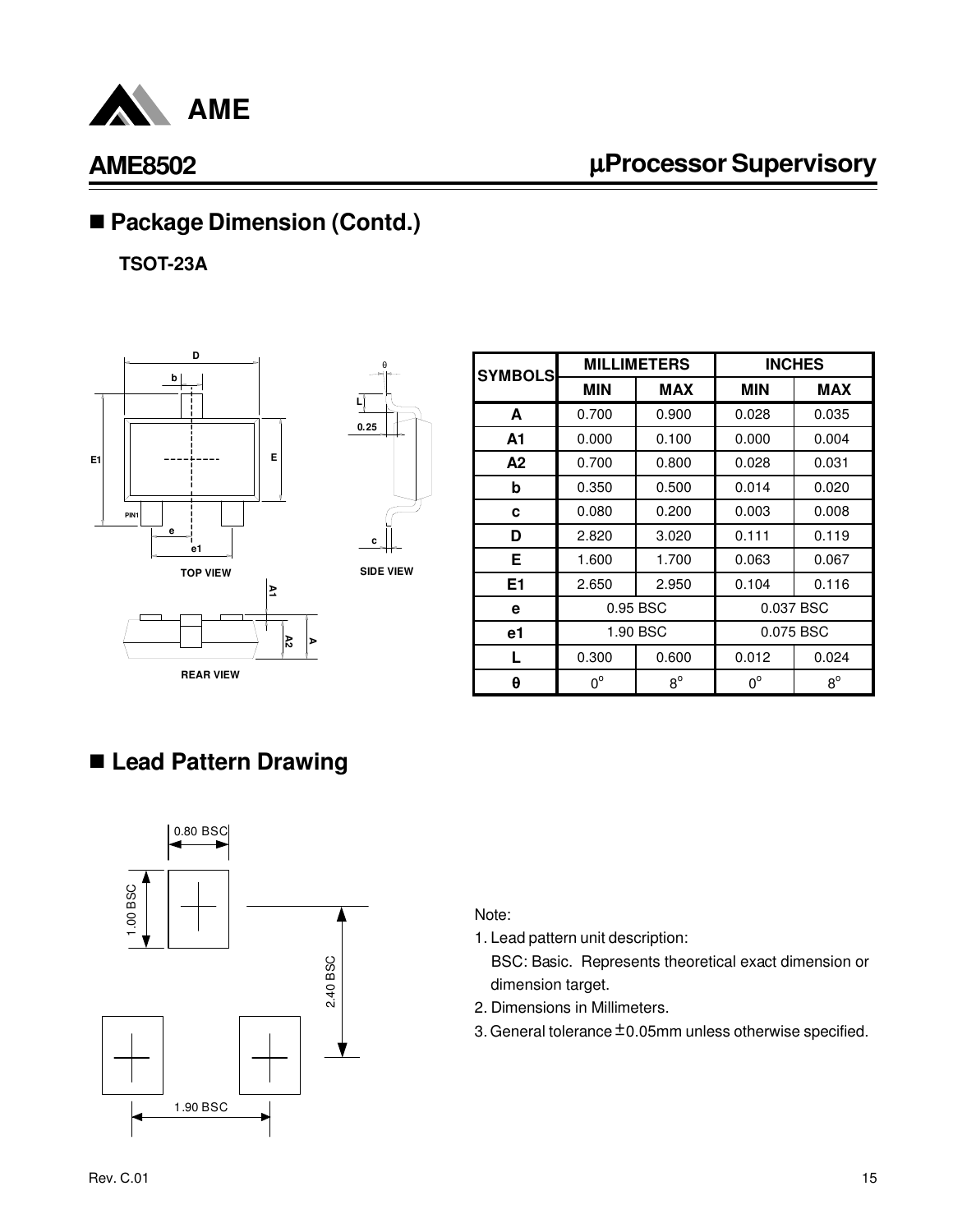

# µ**Processor Supervisory**

# ■ Package Dimension (Contd.)

**TSOT-23A**





θ

**SIDE VIEW**

| <b>SYMBOLS</b> | <b>MILLIMETERS</b> |             | <b>INCHES</b> |             |
|----------------|--------------------|-------------|---------------|-------------|
|                | <b>MIN</b>         | <b>MAX</b>  | <b>MIN</b>    | <b>MAX</b>  |
| A              | 0.700              | 0.900       | 0.028         | 0.035       |
| A1             | 0.000              | 0.100       | 0.000         | 0.004       |
| А2             | 0.700              | 0.800       | 0.028         | 0.031       |
| b              | 0.350              | 0.500       | 0.014         | 0.020       |
| c              | 0.080              | 0.200       | 0.003         | 0.008       |
| D              | 2.820              | 3.020       | 0.111         | 0.119       |
| Е              | 1.600              | 1.700       | 0.063         | 0.067       |
| E <sub>1</sub> | 2.650              | 2.950       | 0.104         | 0.116       |
| е              | 0.95 BSC           |             | 0.037 BSC     |             |
| e1             | 1.90 BSC           |             | 0.075 BSC     |             |
| L              | 0.300              | 0.600       | 0.012         | 0.024       |
| θ              | $0^{\circ}$        | $8^{\circ}$ | $0^{\circ}$   | $8^{\circ}$ |

### n **Lead Pattern Drawing**



#### Note:

1. Lead pattern unit description:

- 2. Dimensions in Millimeters.
- 3. General tolerance  $\pm$  0.05mm unless otherwise specified.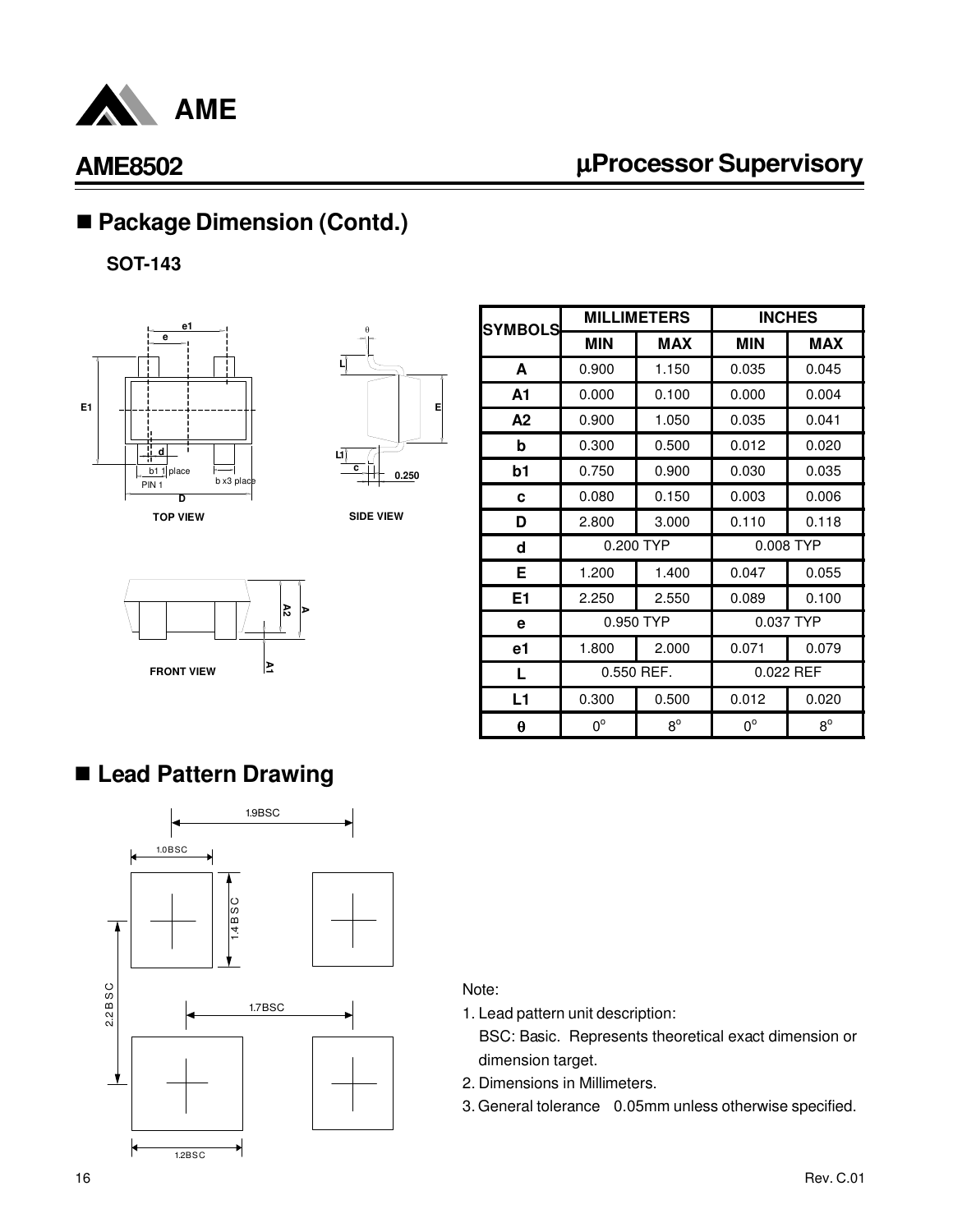

# µ**Processor Supervisory**

**MIN MAX MIN MAX**

**MILLIMETERS INCHES**

**A** 0.900 1.150 0.035 0.045

# ■ Package Dimension (Contd.)

**SOT-143**





**SYMBOLS**

**SIDE VIEW**



| A <sub>1</sub> | 0.000      | 0.100     | 0.000       | 0.004 |
|----------------|------------|-----------|-------------|-------|
| A <sub>2</sub> | 0.900      | 1.050     | 0.035       | 0.041 |
| b              | 0.300      | 0.500     | 0.012       | 0.020 |
| b1             | 0.750      | 0.900     | 0.030       | 0.035 |
| C              | 0.080      | 0.150     | 0.003       | 0.006 |
| D              | 2.800      | 3.000     | 0.110       | 0.118 |
| d              | 0.200 TYP  |           | 0.008 TYP   |       |
| Е              | 1.200      | 1.400     | 0.047       | 0.055 |
| E1             | 2.250      | 2.550     | 0.089       | 0.100 |
| е              |            | 0.950 TYP | 0.037 TYP   |       |
| e1             | 1.800      | 2.000     | 0.071       | 0.079 |
| L              | 0.550 REF. |           | 0.022 REF   |       |
| L1             | 0.300      | 0.500     | 0.012       | 0.020 |
| θ              | 0°         | $R^0$     | $0^{\circ}$ | $R^0$ |

# n **Lead Pattern Drawing**



#### Note:

- 1. Lead pattern unit description:
	- BSC: Basic. Represents theoretical exact dimension or dimension target.
- 2. Dimensions in Millimeters.
- 3. General tolerance 0.05mm unless otherwise specified.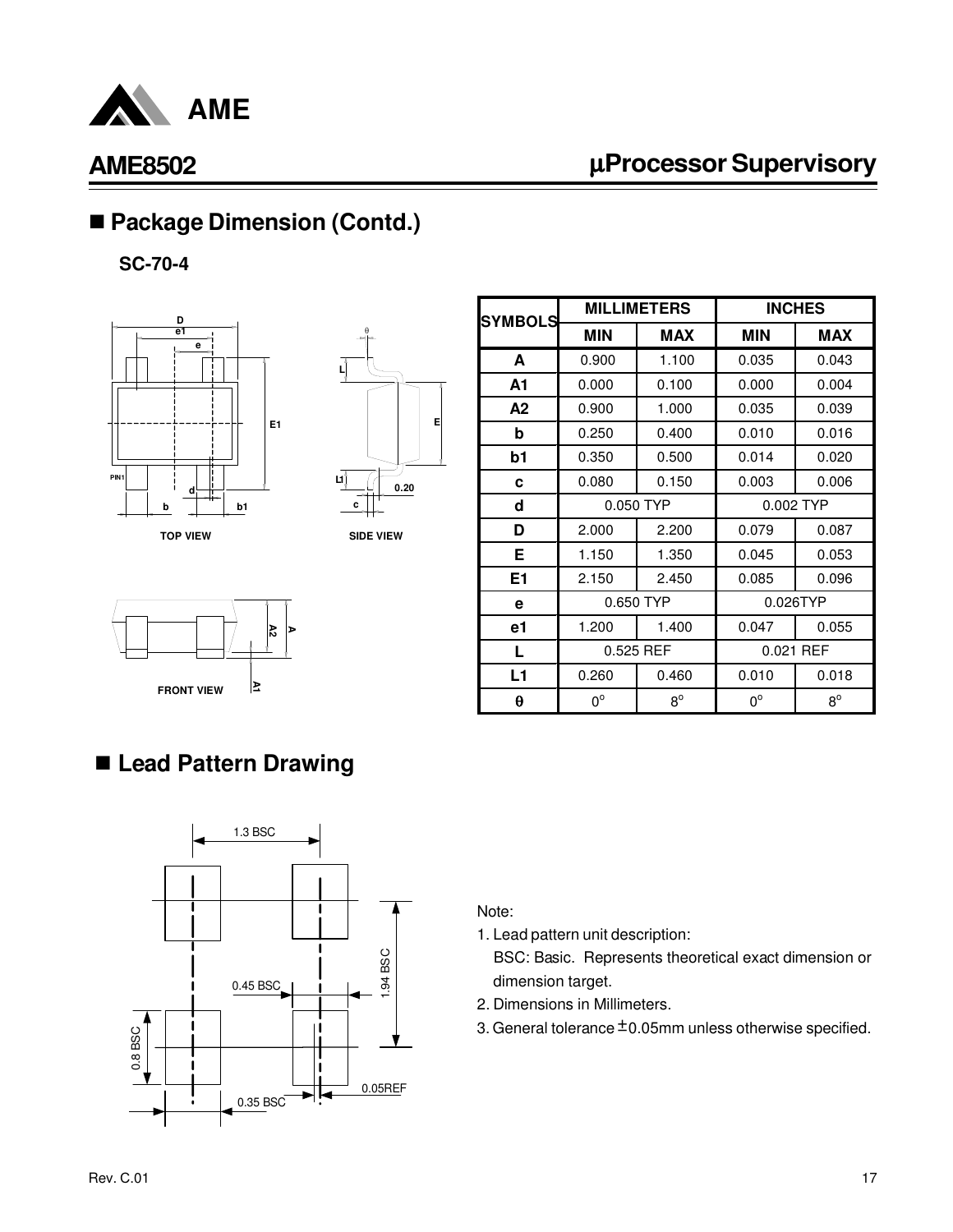

# µ**Processor Supervisory**

# ■ Package Dimension (Contd.)

**SC-70-4**





**SIDE VIEW**



| <b>SYMBOLS</b>        |             | <b>MILLIMETERS</b> | <b>INCHES</b> |             |
|-----------------------|-------------|--------------------|---------------|-------------|
|                       | <b>MIN</b>  | <b>MAX</b>         | <b>MIN</b>    | <b>MAX</b>  |
| A                     | 0.900       | 1.100              | 0.035         | 0.043       |
| A1                    | 0.000       | 0.100              | 0.000         | 0.004       |
| A2                    | 0.900       | 1.000              | 0.035         | 0.039       |
| b                     | 0.250       | 0.400              | 0.010         | 0.016       |
| b1                    | 0.350       | 0.500              | 0.014         | 0.020       |
| C                     | 0.080       | 0.150              | 0.003         | 0.006       |
| d                     | 0.050 TYP   |                    | 0.002 TYP     |             |
| D                     | 2.000       | 2.200              | 0.079         | 0.087       |
| Е                     | 1.150       | 1.350              | 0.045         | 0.053       |
| E1                    | 2.150       | 2.450              | 0.085         | 0.096       |
| e                     | 0.650 TYP   |                    | 0.026TYP      |             |
| e1                    | 1.200       | 1.400              | 0.047         | 0.055       |
| L                     | 0.525 REF   |                    | 0.021 REF     |             |
| L1                    | 0.260       | 0.460              | 0.010         | 0.018       |
| $\boldsymbol{\theta}$ | $0^{\circ}$ | $8^{\circ}$        | $0^{\circ}$   | $8^{\circ}$ |

### n **Lead Pattern Drawing**



Note:

1. Lead pattern unit description:

- 2. Dimensions in Millimeters.
- 3. General tolerance  $\pm$  0.05mm unless otherwise specified.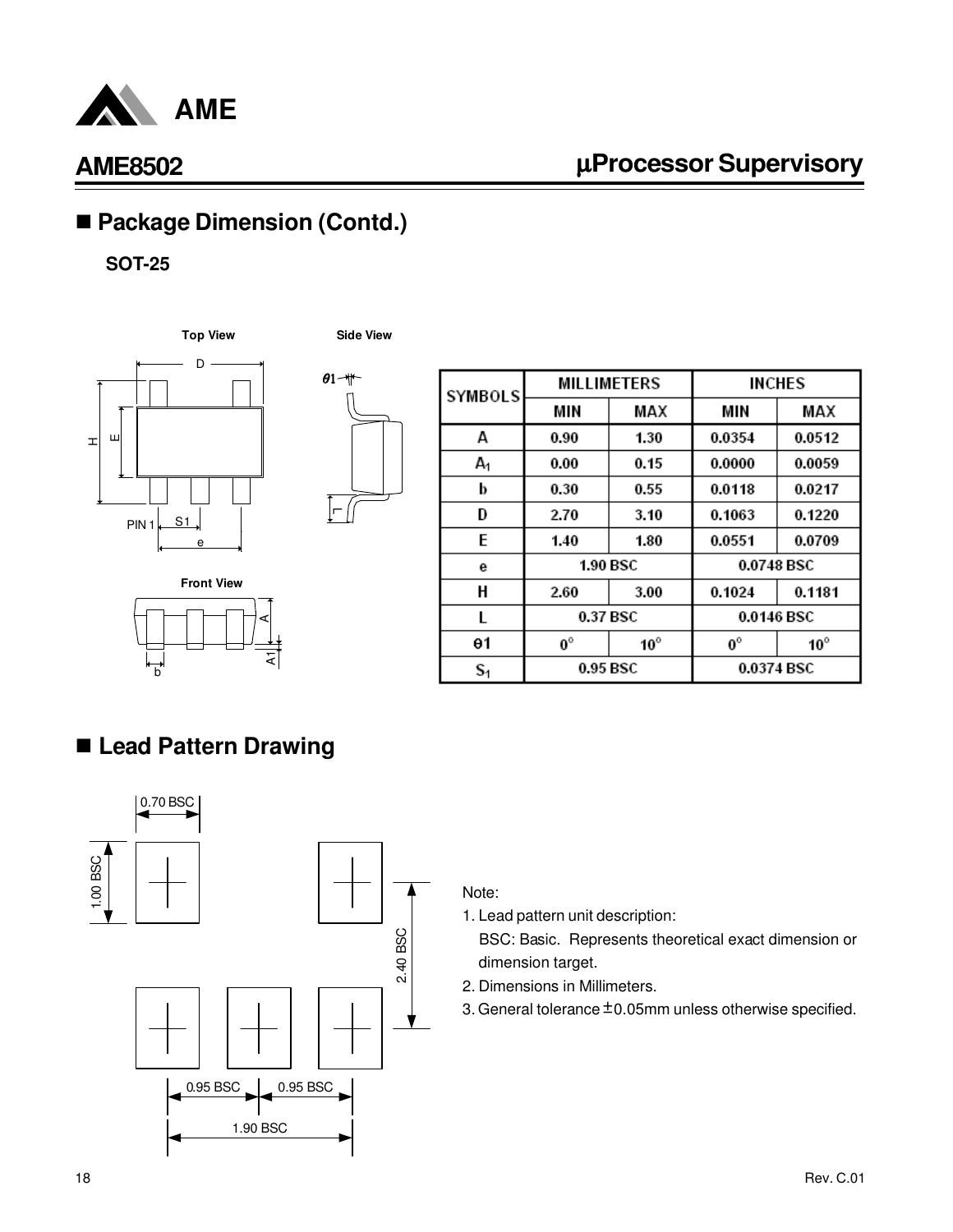

# µ**Processor Supervisory**

# ■ Package Dimension (Contd.)

#### **SOT-25**







| <b>SYMBOLS</b> | <b>MILLIMETERS</b> |              | INCHES      |              |
|----------------|--------------------|--------------|-------------|--------------|
|                | MIN                | MAX          | MIN         | MAX          |
| А              | 0.90               | 1.30         | 0.0354      | 0.0512       |
| A <sub>1</sub> | 0.00               | 0.15         | 0.0000      | 0.0059       |
| b              | 0.30               | 0.55         | 0.0118      | 0.0217       |
| D              | 2.70               | 3.10         | 0.1063      | 0.1220       |
| E              | 1.40               | 1.80         | 0.0551      | 0.0709       |
| е              | 1.90 BSC           |              | 0.0748 BSC  |              |
| Н              | 2.60               | 3.00         | 0.1024      | 0.1181       |
| L              | 0.37 BSC           |              |             | 0.0146 BSC   |
| θ1             | $0^\circ$          | $10^{\circ}$ | $0^{\circ}$ | $10^{\circ}$ |
| $S_1$          | 0.95 BSC           |              | 0.0374 BSC  |              |

# n **Lead Pattern Drawing**

b

**Front View**



হা

A

#### Note:

1. Lead pattern unit description:

- 2. Dimensions in Millimeters.
- 3. General tolerance  $\pm$  0.05mm unless otherwise specified.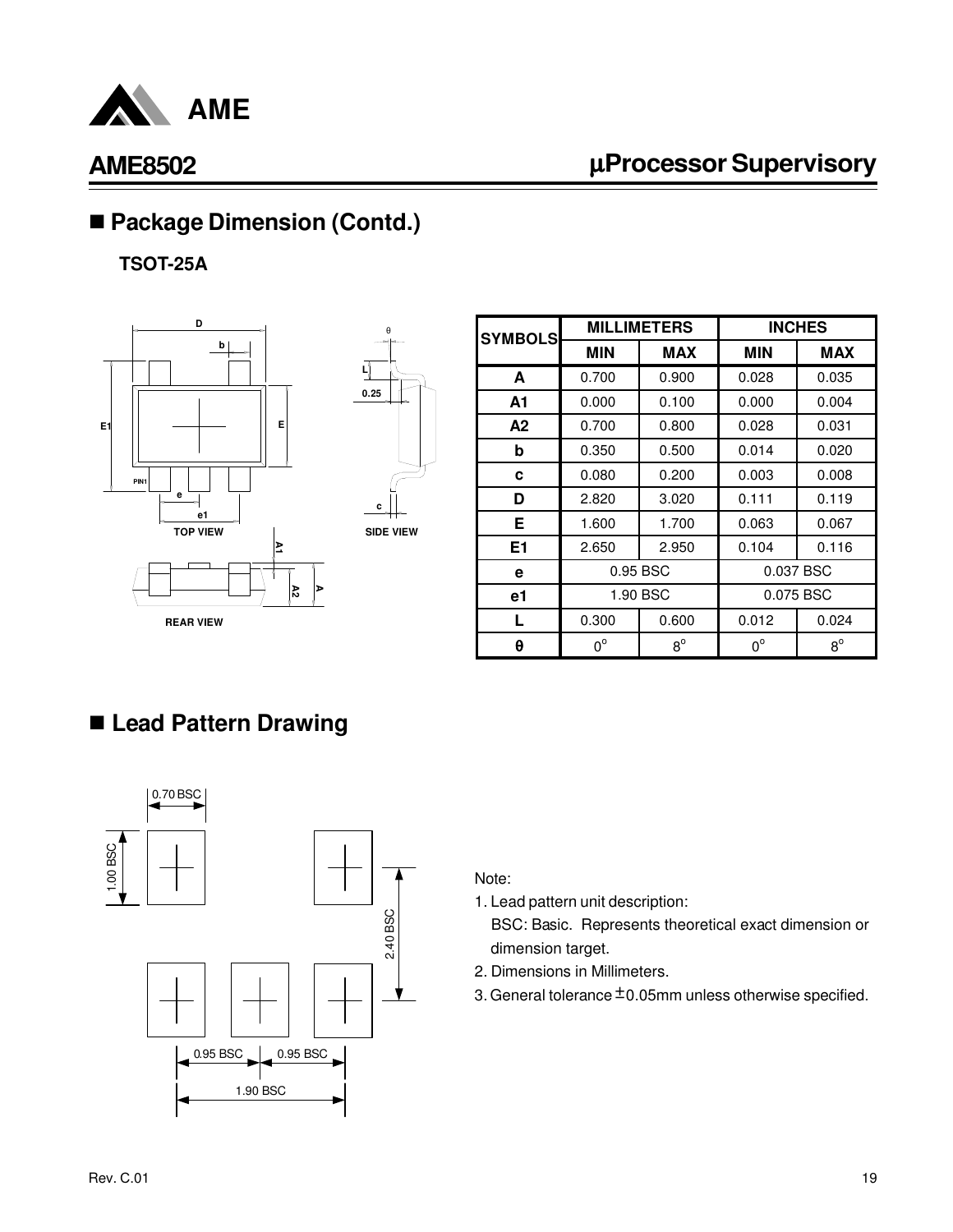

# µ**Processor Supervisory**

# ■ Package Dimension (Contd.)

**TSOT-25A**



| θ                |
|------------------|
|                  |
| ų                |
| 0.25             |
|                  |
|                  |
|                  |
|                  |
|                  |
| c                |
| <b>SIDE VIEW</b> |
|                  |
|                  |

| <b>SYMBOLS</b> | <b>MILLIMETERS</b><br><b>INCHES</b> |             |             |            |
|----------------|-------------------------------------|-------------|-------------|------------|
|                | <b>MIN</b>                          | <b>MAX</b>  | <b>MIN</b>  | <b>MAX</b> |
| A              | 0.700                               | 0.900       | 0.028       | 0.035      |
| A1             | 0.000                               | 0.100       | 0.000       | 0.004      |
| A2             | 0.700                               | 0.800       | 0.028       | 0.031      |
| b              | 0.350                               | 0.500       | 0.014       | 0.020      |
| c              | 0.080                               | 0.200       | 0.003       | 0.008      |
| D              | 2.820                               | 3.020       | 0.111       | 0.119      |
| E              | 1.600                               | 1.700       | 0.063       | 0.067      |
| E <sub>1</sub> | 2.650                               | 2.950       | 0.104       | 0.116      |
| е              | 0.95 BSC                            |             | 0.037 BSC   |            |
| e1             | 1.90 BSC                            |             | 0.075 BSC   |            |
| L              | 0.300                               | 0.600       | 0.012       | 0.024      |
| θ              | $0^{\circ}$                         | $8^{\circ}$ | $0^{\circ}$ | $8^\circ$  |

# n **Lead Pattern Drawing**



#### Note:

- 1. Lead pattern unit description:
	- BSC: Basic. Represents theoretical exact dimension or dimension target.
- 2. Dimensions in Millimeters.
- 3. General tolerance  $\pm$  0.05mm unless otherwise specified.